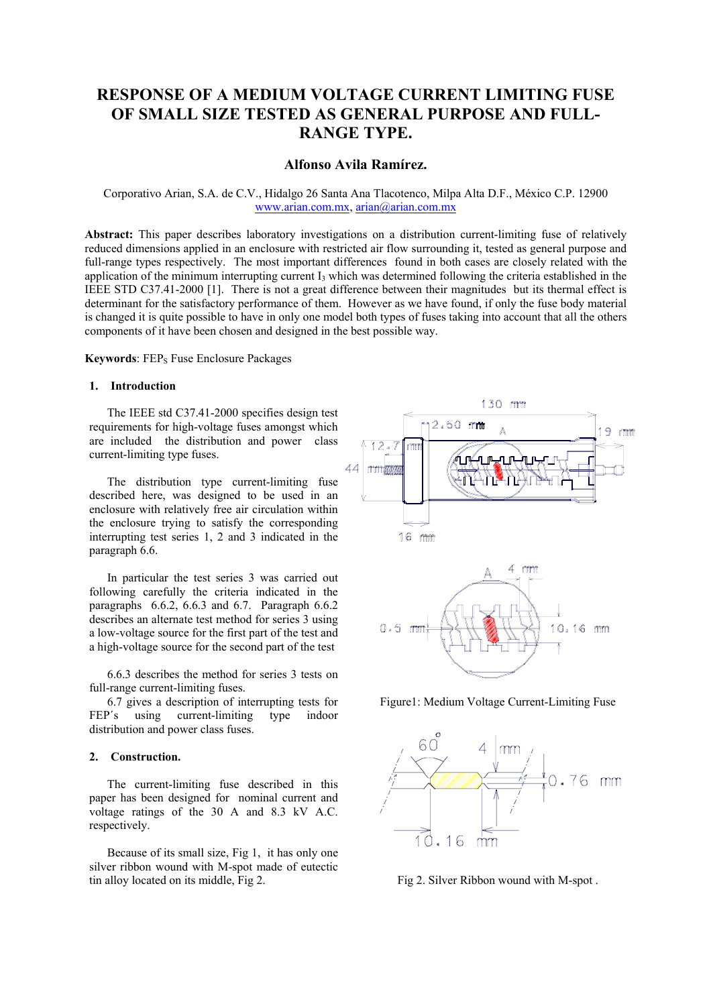# **RESPONSE OF A MEDIUM VOLTAGE CURRENT LIMITING FUSE OF SMALL SIZE TESTED AS GENERAL PURPOSE AND FULL-RANGE TYPE.**

# **Alfonso Avila Ramírez.**

# Corporativo Arian, S.A. de C.V., Hidalgo 26 Santa Ana Tlacotenco, Milpa Alta D.F., México C.P. 12900 www.arian.com.mx, arian@arian.com.mx

**Abstract:** This paper describes laboratory investigations on a distribution current-limiting fuse of relatively reduced dimensions applied in an enclosure with restricted air flow surrounding it, tested as general purpose and full-range types respectively. The most important differences found in both cases are closely related with the application of the minimum interrupting current  $I_3$  which was determined following the criteria established in the IEEE STD C37.41-2000 [1]. There is not a great difference between their magnitudes but its thermal effect is determinant for the satisfactory performance of them. However as we have found, if only the fuse body material is changed it is quite possible to have in only one model both types of fuses taking into account that all the others components of it have been chosen and designed in the best possible way.

**Keywords**: FEP<sub>S</sub> Fuse Enclosure Packages

# **1. Introduction**

 The IEEE std C37.41-2000 specifies design test requirements for high-voltage fuses amongst which are included the distribution and power class current-limiting type fuses.

 The distribution type current-limiting fuse described here, was designed to be used in an enclosure with relatively free air circulation within the enclosure trying to satisfy the corresponding interrupting test series 1, 2 and 3 indicated in the paragraph 6.6.

 In particular the test series 3 was carried out following carefully the criteria indicated in the paragraphs 6.6.2, 6.6.3 and 6.7. Paragraph 6.6.2 describes an alternate test method for series 3 using a low-voltage source for the first part of the test and a high-voltage source for the second part of the test

 6.6.3 describes the method for series 3 tests on full-range current-limiting fuses.

 6.7 gives a description of interrupting tests for FEP's using current-limiting type indoor distribution and power class fuses.

# **2. Construction.**

 The current-limiting fuse described in this paper has been designed for nominal current and voltage ratings of the 30 A and 8.3 kV A.C. respectively.

 Because of its small size, Fig 1, it has only one silver ribbon wound with M-spot made of eutectic tin alloy located on its middle, Fig 2.



Figure1: Medium Voltage Current-Limiting Fuse



Fig 2. Silver Ribbon wound with M-spot .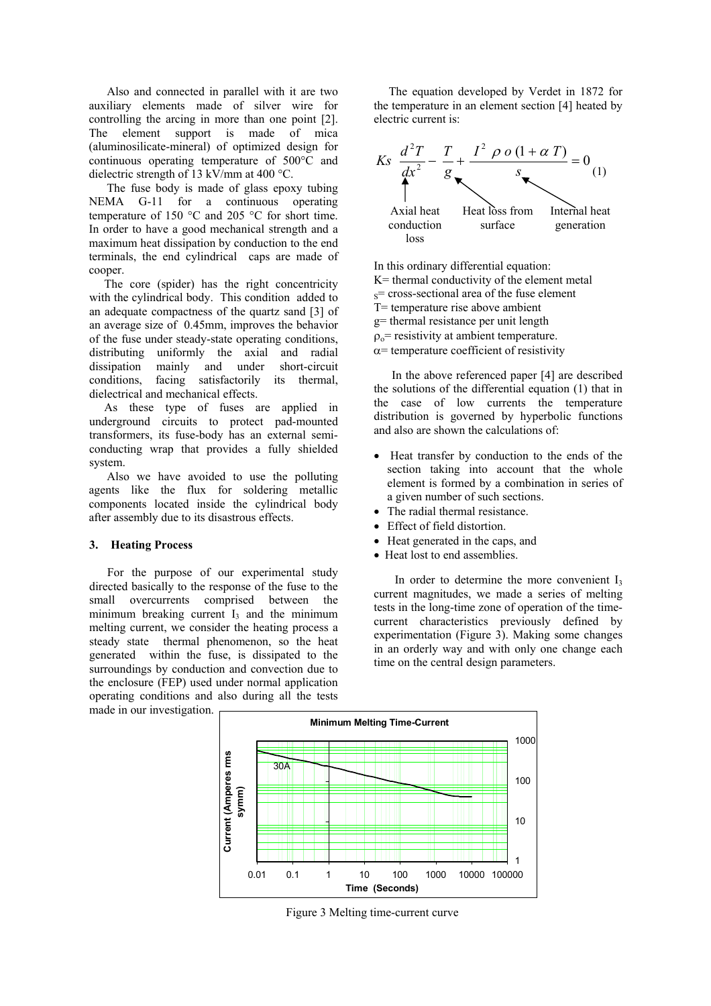Also and connected in parallel with it are two auxiliary elements made of silver wire for controlling the arcing in more than one point [2]. The element support is made of mica (aluminosilicate-mineral) of optimized design for continuous operating temperature of 500°C and dielectric strength of 13 kV/mm at 400 °C.

 The fuse body is made of glass epoxy tubing NEMA G-11 for a continuous operating temperature of 150 °C and 205 °C for short time. In order to have a good mechanical strength and a maximum heat dissipation by conduction to the end terminals, the end cylindrical caps are made of cooper.

 The core (spider) has the right concentricity with the cylindrical body. This condition added to an adequate compactness of the quartz sand [3] of an average size of 0.45mm, improves the behavior of the fuse under steady-state operating conditions, distributing uniformly the axial and radial dissipation mainly and under short-circuit conditions, facing satisfactorily its thermal, dielectrical and mechanical effects.

 As these type of fuses are applied in underground circuits to protect pad-mounted transformers, its fuse-body has an external semiconducting wrap that provides a fully shielded system.

 Also we have avoided to use the polluting agents like the flux for soldering metallic components located inside the cylindrical body after assembly due to its disastrous effects.

#### **3. Heating Process**

 For the purpose of our experimental study directed basically to the response of the fuse to the small overcurrents comprised between the minimum breaking current  $I_3$  and the minimum melting current, we consider the heating process a steady state thermal phenomenon, so the heat generated within the fuse, is dissipated to the surroundings by conduction and convection due to the enclosure (FEP) used under normal application operating conditions and also during all the tests made in our investigation.

 The equation developed by Verdet in 1872 for the temperature in an element section [4] heated by electric current is:



In this ordinary differential equation:

K= thermal conductivity of the element metal

 $s$ = cross-sectional area of the fuse element

T= temperature rise above ambient

g= thermal resistance per unit length

 $\rho_{0}$ = resistivity at ambient temperature.

 $\alpha$ = temperature coefficient of resistivity

 In the above referenced paper [4] are described the solutions of the differential equation (1) that in the case of low currents the temperature distribution is governed by hyperbolic functions and also are shown the calculations of:

- Heat transfer by conduction to the ends of the section taking into account that the whole element is formed by a combination in series of a given number of such sections.
- The radial thermal resistance
- Effect of field distortion.
- Heat generated in the caps, and
- Heat lost to end assemblies.

In order to determine the more convenient  $I_3$ current magnitudes, we made a series of melting tests in the long-time zone of operation of the timecurrent characteristics previously defined by experimentation (Figure 3). Making some changes in an orderly way and with only one change each time on the central design parameters.



Figure 3 Melting time-current curve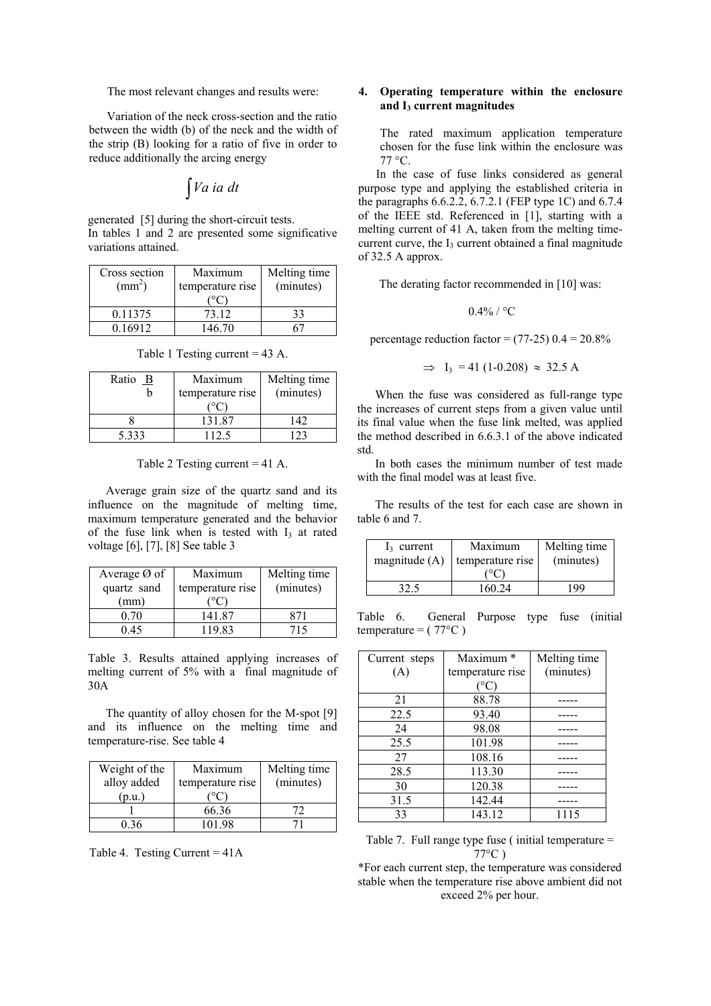The most relevant changes and results were:

 Variation of the neck cross-section and the ratio between the width (b) of the neck and the width of the strip (B) looking for a ratio of five in order to reduce additionally the arcing energy

$$
\int Va\;ia\;dt
$$

generated [5] during the short-circuit tests. In tables 1 and 2 are presented some significative variations attained.

| Cross section<br>$\text{(mm}^2)$ | Maximum<br>temperature rise | Melting time<br>(minutes) |
|----------------------------------|-----------------------------|---------------------------|
|                                  |                             |                           |
| 0.11375                          | 73.12                       |                           |
| 0.16912                          | 146.70                      |                           |

Table 1 Testing current = 43 A.

| Ratio $\underline{B}$ | Maximum<br>temperature rise | Melting time<br>(minutes) |
|-----------------------|-----------------------------|---------------------------|
|                       | 131.87                      | 142                       |
| 5.333                 | 112.5                       |                           |

Table 2 Testing current = 41 A.

 Average grain size of the quartz sand and its influence on the magnitude of melting time, maximum temperature generated and the behavior of the fuse link when is tested with  $I_3$  at rated voltage [6], [7], [8] See table 3

| Average $\emptyset$ of | Maximum          | Melting time |
|------------------------|------------------|--------------|
| quartz sand            | temperature rise | (minutes)    |
| (mm)                   |                  |              |
| 0 70                   | 141.87           |              |
| 14 (                   | 119.83           |              |

Table 3. Results attained applying increases of melting current of 5% with a final magnitude of 30A

 The quantity of alloy chosen for the M-spot [9] and its influence on the melting time and temperature-rise. See table 4

| Weight of the | Maximum          | Melting time |
|---------------|------------------|--------------|
| alloy added   | temperature rise | (minutes)    |
| p.u.          |                  |              |
|               | 66.36            |              |
| በ 36          | 101.98           |              |

Table 4. Testing Current = 41A

# **4. Operating temperature within the enclosure and I3 current magnitudes**

The rated maximum application temperature chosen for the fuse link within the enclosure was  $77 °C$ .

 In the case of fuse links considered as general purpose type and applying the established criteria in the paragraphs 6.6.2.2, 6.7.2.1 (FEP type 1C) and 6.7.4 of the IEEE std. Referenced in [1], starting with a melting current of 41 A, taken from the melting timecurrent curve, the  $I_3$  current obtained a final magnitude of 32.5 A approx.

The derating factor recommended in [10] was:

 $0.4\%$  / °C

percentage reduction factor =  $(77-25)$  0.4 =  $20.8\%$ 

$$
\Rightarrow
$$
 I<sub>3</sub> = 41 (1-0.208)  $\approx$  32.5 A

 When the fuse was considered as full-range type the increases of current steps from a given value until its final value when the fuse link melted, was applied the method described in 6.6.3.1 of the above indicated std.

 In both cases the minimum number of test made with the final model was at least five.

 The results of the test for each case are shown in table 6 and 7.

| $I_3$ current   | Maximum          | Melting time |
|-----------------|------------------|--------------|
| magnitude $(A)$ | temperature rise | (minutes)    |
|                 |                  |              |
|                 | 160 24           | 199          |

Table 6. General Purpose type fuse (initial temperature =  $(77^{\circ}C)$ 

| Current steps | Maximum *        | Melting time |
|---------------|------------------|--------------|
| (A)           | temperature rise | (minutes)    |
|               | $^{\circ}$ C)    |              |
| 21            | 88.78            |              |
| 22.5          | 93.40            |              |
| 24            | 98.08            |              |
| 25.5          | 101.98           |              |
| 27            | 108.16           |              |
| 28.5          | 113.30           |              |
| 30            | 120.38           |              |
| 31.5          | 142.44           |              |
| 33            | 143.12           | 1115         |

Table 7. Full range type fuse ( initial temperature = 77°C )

\*For each current step, the temperature was considered stable when the temperature rise above ambient did not exceed 2% per hour.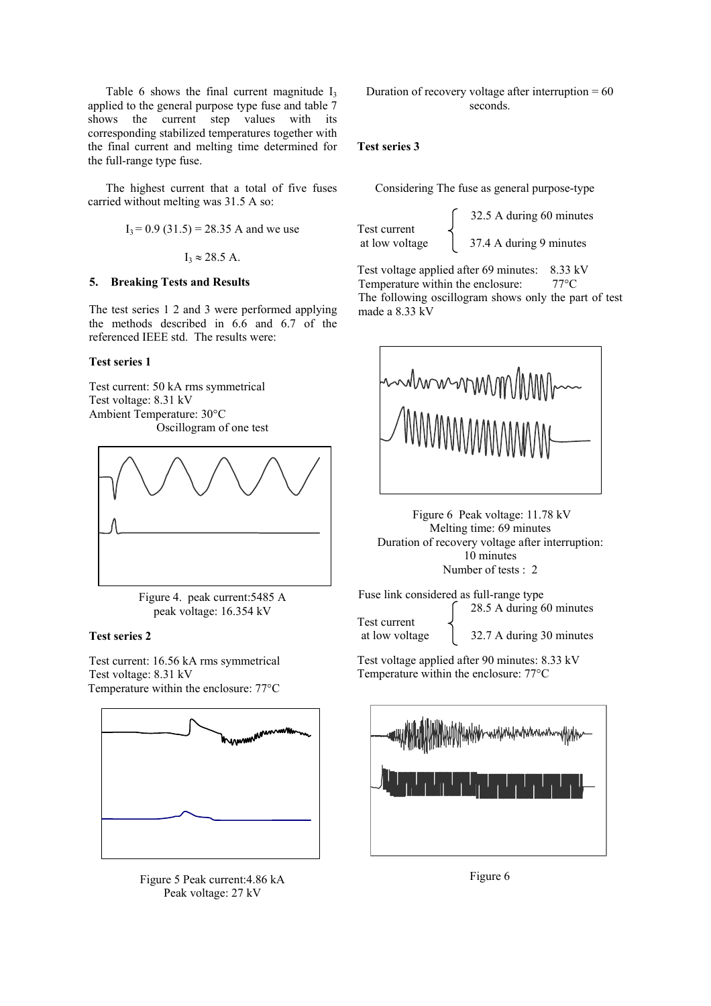Table 6 shows the final current magnitude  $I_3$ applied to the general purpose type fuse and table 7 shows the current step values with its corresponding stabilized temperatures together with the final current and melting time determined for the full-range type fuse.

 The highest current that a total of five fuses carried without melting was 31.5 A so:

$$
I_3 = 0.9
$$
 (31.5) = 28.35 A and we use

 $I_3 \approx 28.5$  A.

# **5. Breaking Tests and Results**

The test series 1 2 and 3 were performed applying the methods described in 6.6 and 6.7 of the referenced IEEE std. The results were:

# **Test series 1**

Test current: 50 kA rms symmetrical Test voltage: 8.31 kV Ambient Temperature: 30°C Oscillogram of one test



Figure 4. peak current:5485 A peak voltage: 16.354 kV

### **Test series 2**

Test current: 16.56 kA rms symmetrical Test voltage: 8.31 kV Temperature within the enclosure: 77°C



Figure 5 Peak current:4.86 kA Peak voltage: 27 kV

Duration of recovery voltage after interruption  $= 60$ seconds.

# **Test series 3**

Considering The fuse as general purpose-type

Test current<br>at low voltage

 32.5 A during 60 minutes 37.4 A during 9 minutes

Test voltage applied after 69 minutes: 8.33 kV Temperature within the enclosure:  $77^{\circ}$ C The following oscillogram shows only the part of test made a 8.33 kV



 Figure 6 Peak voltage: 11.78 kV Melting time: 69 minutes Duration of recovery voltage after interruption: 10 minutes Number of tests : 2

Fuse link considered as full-range type 28.5 A during 60 minutes

Test current at low voltage 132.7 A during 30 minutes

Test voltage applied after 90 minutes: 8.33 kV Temperature within the enclosure: 77°C



Figure 6